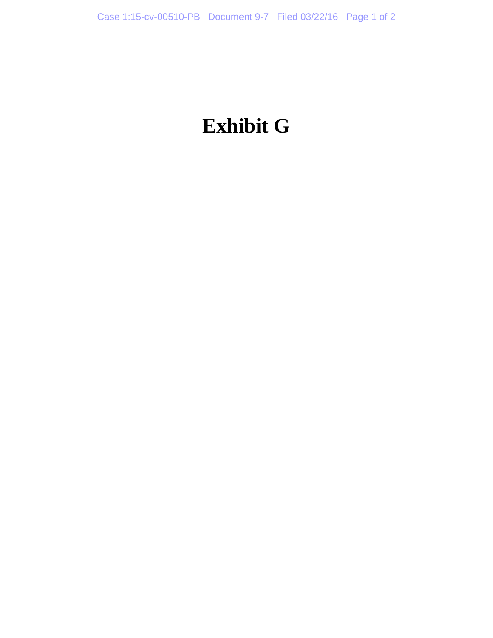## **Exhibit G**